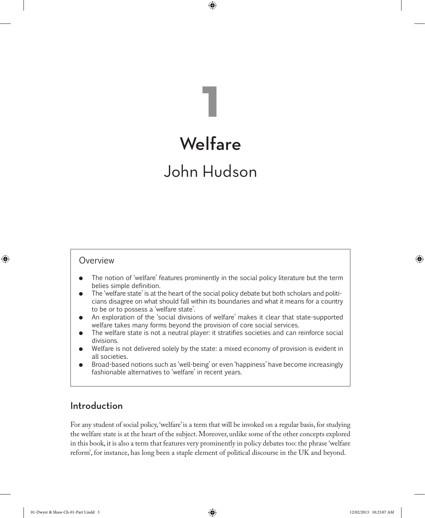# **Welfare**

**1**

⊕

## John Hudson

#### Overview

⊕

- � The notion of 'welfare' features prominently in the social policy literature but the term belies simple definition.
- � The 'welfare state' is at the heart of the social policy debate but both scholars and politicians disagree on what should fall within its boundaries and what it means for a country to be or to possess a 'welfare state'.
- � An exploration of the 'social divisions of welfare' makes it clear that state-supported welfare takes many forms beyond the provision of core social services.
- � The welfare state is not a neutral player: it stratifies societies and can reinforce social divisions.
- Welfare is not delivered solely by the state: a mixed economy of provision is evident in all societies.
- � Broad-based notions such as 'well-being' or even 'happiness' have become increasingly fashionable alternatives to 'welfare' in recent years.

## Introduction

For any student of social policy, 'welfare' is a term that will be invoked on a regular basis, for studying the welfare state is at the heart of the subject. Moreover, unlike some of the other concepts explored in this book, it is also a term that features very prominently in policy debates too: the phrase 'welfare reform', for instance, has long been a staple element of political discourse in the UK and beyond.

01-Dwyer & Shaw-Ch-01-Part I.indd 3 12/02/2013 10:23:07 AM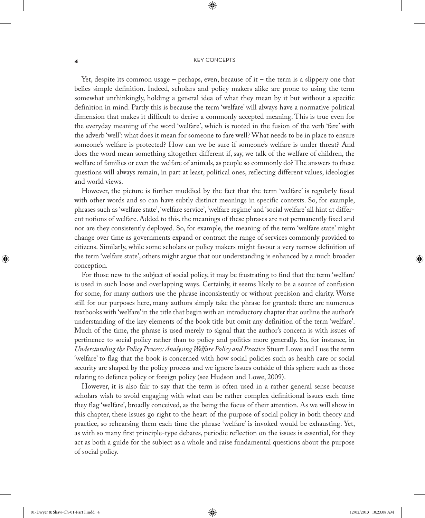⊕

Yet, despite its common usage – perhaps, even, because of it – the term is a slippery one that belies simple definition. Indeed, scholars and policy makers alike are prone to using the term somewhat unthinkingly, holding a general idea of what they mean by it but without a specific definition in mind. Partly this is because the term 'welfare' will always have a normative political dimension that makes it difficult to derive a commonly accepted meaning. This is true even for the everyday meaning of the word 'welfare', which is rooted in the fusion of the verb 'fare' with the adverb 'well': what does it mean for someone to fare well? What needs to be in place to ensure someone's welfare is protected? How can we be sure if someone's welfare is under threat? And does the word mean something altogether different if, say, we talk of the welfare of children, the welfare of families or even the welfare of animals, as people so commonly do? The answers to these questions will always remain, in part at least, political ones, reflecting different values, ideologies and world views.

However, the picture is further muddied by the fact that the term 'welfare' is regularly fused with other words and so can have subtly distinct meanings in specific contexts. So, for example, phrases such as 'welfare state', 'welfare service', 'welfare regime' and 'social welfare' all hint at different notions of welfare. Added to this, the meanings of these phrases are not permanently fixed and nor are they consistently deployed. So, for example, the meaning of the term 'welfare state' might change over time as governments expand or contract the range of services commonly provided to citizens. Similarly, while some scholars or policy makers might favour a very narrow definition of the term 'welfare state', others might argue that our understanding is enhanced by a much broader conception.

For those new to the subject of social policy, it may be frustrating to find that the term 'welfare' is used in such loose and overlapping ways. Certainly, it seems likely to be a source of confusion for some, for many authors use the phrase inconsistently or without precision and clarity. Worse still for our purposes here, many authors simply take the phrase for granted: there are numerous textbooks with 'welfare' in the title that begin with an introductory chapter that outline the author's understanding of the key elements of the book title but omit any definition of the term 'welfare'. Much of the time, the phrase is used merely to signal that the author's concern is with issues of pertinence to social policy rather than to policy and politics more generally. So, for instance, in *Understanding the Policy Process: Analysing Welfare Policy and Practice* Stuart Lowe and I use the term 'welfare' to flag that the book is concerned with how social policies such as health care or social security are shaped by the policy process and we ignore issues outside of this sphere such as those relating to defence policy or foreign policy (see Hudson and Lowe, 2009).

However, it is also fair to say that the term is often used in a rather general sense because scholars wish to avoid engaging with what can be rather complex definitional issues each time they flag 'welfare', broadly conceived, as the being the focus of their attention. As we will show in this chapter, these issues go right to the heart of the purpose of social policy in both theory and practice, so rehearsing them each time the phrase 'welfare' is invoked would be exhausting. Yet, as with so many first principle-type debates, periodic reflection on the issues is essential, for they act as both a guide for the subject as a whole and raise fundamental questions about the purpose of social policy.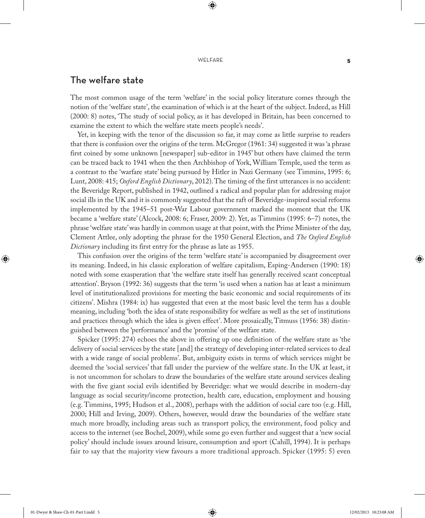#### WELFARE 5

⊕

## The welfare state

The most common usage of the term 'welfare' in the social policy literature comes through the notion of the 'welfare state', the examination of which is at the heart of the subject. Indeed, as Hill (2000: 8) notes, 'The study of social policy, as it has developed in Britain, has been concerned to examine the extent to which the welfare state meets people's needs'.

Yet, in keeping with the tenor of the discussion so far, it may come as little surprise to readers that there is confusion over the origins of the term. McGregor (1961: 34) suggested it was 'a phrase first coined by some unknown [newspaper] sub-editor in 1945' but others have claimed the term can be traced back to 1941 when the then Archbishop of York, William Temple, used the term as a contrast to the 'warfare state' being pursued by Hitler in Nazi Germany (see Timmins, 1995: 6; Lunt, 2008: 415; *Oxford English Dictionary*, 2012). The timing of the first utterances is no accident: the Beveridge Report, published in 1942, outlined a radical and popular plan for addressing major social ills in the UK and it is commonly suggested that the raft of Beveridge-inspired social reforms implemented by the 1945–51 post-War Labour government marked the moment that the UK became a 'welfare state' (Alcock, 2008: 6; Fraser, 2009: 2). Yet, as Timmins (1995: 6–7) notes, the phrase 'welfare state' was hardly in common usage at that point, with the Prime Minister of the day, Clement Attlee, only adopting the phrase for the 1950 General Election, and *The Oxford English Dictionary* including its first entry for the phrase as late as 1955.

This confusion over the origins of the term 'welfare state' is accompanied by disagreement over its meaning. Indeed, in his classic exploration of welfare capitalism, Esping-Andersen (1990: 18) noted with some exasperation that 'the welfare state itself has generally received scant conceptual attention'. Bryson (1992: 36) suggests that the term 'is used when a nation has at least a minimum level of institutionalized provisions for meeting the basic economic and social requirements of its citizens'. Mishra (1984: ix) has suggested that even at the most basic level the term has a double meaning, including 'both the idea of state responsibility for welfare as well as the set of institutions and practices through which the idea is given effect'. More prosaically, Titmuss (1956: 38) distinguished between the 'performance' and the 'promise' of the welfare state.

Spicker (1995: 274) echoes the above in offering up one definition of the welfare state as 'the delivery of social services by the state [and] the strategy of developing inter-related services to deal with a wide range of social problems'. But, ambiguity exists in terms of which services might be deemed the 'social services' that fall under the purview of the welfare state. In the UK at least, it is not uncommon for scholars to draw the boundaries of the welfare state around services dealing with the five giant social evils identified by Beveridge: what we would describe in modern-day language as social security/income protection, health care, education, employment and housing (e.g. Timmins, 1995; Hudson et al., 2008), perhaps with the addition of social care too (e.g. Hill, 2000; Hill and Irving, 2009). Others, however, would draw the boundaries of the welfare state much more broadly, including areas such as transport policy, the environment, food policy and access to the internet (see Bochel, 2009), while some go even further and suggest that a 'new social policy' should include issues around leisure, consumption and sport (Cahill, 1994). It is perhaps fair to say that the majority view favours a more traditional approach. Spicker (1995: 5) even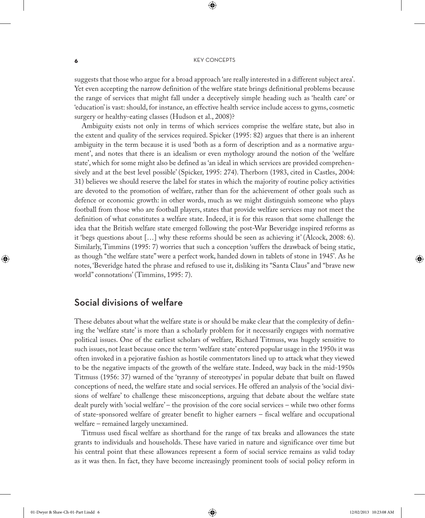⊕

suggests that those who argue for a broad approach 'are really interested in a different subject area'. Yet even accepting the narrow definition of the welfare state brings definitional problems because the range of services that might fall under a deceptively simple heading such as 'health care' or 'education' is vast: should, for instance, an effective health service include access to gyms, cosmetic surgery or healthy-eating classes (Hudson et al., 2008)?

Ambiguity exists not only in terms of which services comprise the welfare state, but also in the extent and quality of the services required. Spicker (1995: 82) argues that there is an inherent ambiguity in the term because it is used 'both as a form of description and as a normative argument', and notes that there is an idealism or even mythology around the notion of the 'welfare state', which for some might also be defined as 'an ideal in which services are provided comprehensively and at the best level possible' (Spicker, 1995: 274). Therborn (1983, cited in Castles, 2004: 31) believes we should reserve the label for states in which the majority of routine policy activities are devoted to the promotion of welfare, rather than for the achievement of other goals such as defence or economic growth: in other words, much as we might distinguish someone who plays football from those who are football players, states that provide welfare services may not meet the definition of what constitutes a welfare state. Indeed, it is for this reason that some challenge the idea that the British welfare state emerged following the post-War Beveridge inspired reforms as it 'begs questions about […] why these reforms should be seen as achieving it' (Alcock, 2008: 6). Similarly, Timmins (1995: 7) worries that such a conception 'suffers the drawback of being static, as though "the welfare state" were a perfect work, handed down in tablets of stone in 1945'. As he notes, 'Beveridge hated the phrase and refused to use it, disliking its "Santa Claus" and "brave new world" connotations' (Timmins, 1995: 7).

## Social divisions of welfare

These debates about what the welfare state is or should be make clear that the complexity of defining the 'welfare state' is more than a scholarly problem for it necessarily engages with normative political issues. One of the earliest scholars of welfare, Richard Titmuss, was hugely sensitive to such issues, not least because once the term 'welfare state' entered popular usage in the 1950s it was often invoked in a pejorative fashion as hostile commentators lined up to attack what they viewed to be the negative impacts of the growth of the welfare state. Indeed, way back in the mid-1950s Titmuss (1956: 37) warned of the 'tyranny of stereotypes' in popular debate that built on flawed conceptions of need, the welfare state and social services. He offered an analysis of the 'social divisions of welfare' to challenge these misconceptions, arguing that debate about the welfare state dealt purely with 'social welfare' – the provision of the core social services – while two other forms of state-sponsored welfare of greater benefit to higher earners – fiscal welfare and occupational welfare – remained largely unexamined.

Titmuss used fiscal welfare as shorthand for the range of tax breaks and allowances the state grants to individuals and households. These have varied in nature and significance over time but his central point that these allowances represent a form of social service remains as valid today as it was then. In fact, they have become increasingly prominent tools of social policy reform in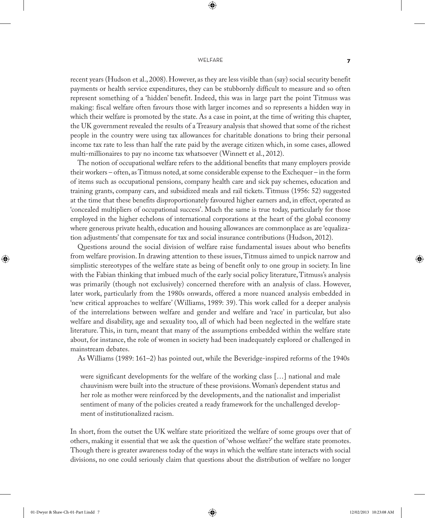#### WELFARE **7**

⊕

recent years (Hudson et al., 2008). However, as they are less visible than (say) social security benefit payments or health service expenditures, they can be stubbornly difficult to measure and so often represent something of a 'hidden' benefit. Indeed, this was in large part the point Titmuss was making: fiscal welfare often favours those with larger incomes and so represents a hidden way in which their welfare is promoted by the state. As a case in point, at the time of writing this chapter, the UK government revealed the results of a Treasury analysis that showed that some of the richest people in the country were using tax allowances for charitable donations to bring their personal income tax rate to less than half the rate paid by the average citizen which, in some cases, allowed multi-millionaires to pay no income tax whatsoever (Winnett et al., 2012).

The notion of occupational welfare refers to the additional benefits that many employers provide their workers – often, as Titmuss noted, at some considerable expense to the Exchequer – in the form of items such as occupational pensions, company health care and sick pay schemes, education and training grants, company cars, and subsidized meals and rail tickets. Titmuss (1956: 52) suggested at the time that these benefits disproportionately favoured higher earners and, in effect, operated as 'concealed multipliers of occupational success'. Much the same is true today, particularly for those employed in the higher echelons of international corporations at the heart of the global economy where generous private health, education and housing allowances are commonplace as are 'equalization adjustments' that compensate for tax and social insurance contributions (Hudson, 2012).

Questions around the social division of welfare raise fundamental issues about who benefits from welfare provision. In drawing attention to these issues, Titmuss aimed to unpick narrow and simplistic stereotypes of the welfare state as being of benefit only to one group in society. In line with the Fabian thinking that imbued much of the early social policy literature, Titmuss's analysis was primarily (though not exclusively) concerned therefore with an analysis of class. However, later work, particularly from the 1980s onwards, offered a more nuanced analysis embedded in 'new critical approaches to welfare' (Williams, 1989: 39). This work called for a deeper analysis of the interrelations between welfare and gender and welfare and 'race' in particular, but also welfare and disability, age and sexuality too, all of which had been neglected in the welfare state literature. This, in turn, meant that many of the assumptions embedded within the welfare state about, for instance, the role of women in society had been inadequately explored or challenged in mainstream debates.

As Williams (1989: 161–2) has pointed out, while the Beveridge-inspired reforms of the 1940s

were significant developments for the welfare of the working class […] national and male chauvinism were built into the structure of these provisions. Woman's dependent status and her role as mother were reinforced by the developments, and the nationalist and imperialist sentiment of many of the policies created a ready framework for the unchallenged development of institutionalized racism.

In short, from the outset the UK welfare state prioritized the welfare of some groups over that of others, making it essential that we ask the question of 'whose welfare?' the welfare state promotes. Though there is greater awareness today of the ways in which the welfare state interacts with social divisions, no one could seriously claim that questions about the distribution of welfare no longer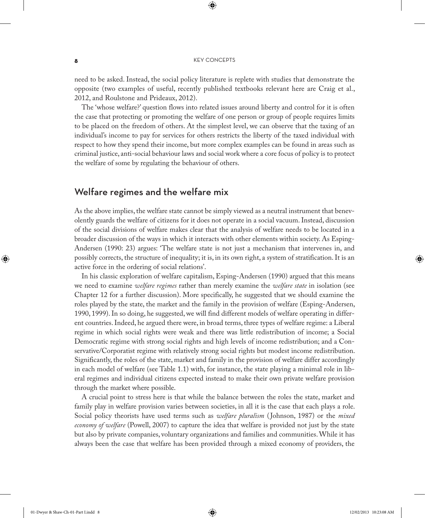⊕

need to be asked. Instead, the social policy literature is replete with studies that demonstrate the opposite (two examples of useful, recently published textbooks relevant here are Craig et al., 2012, and Roulstone and Prideaux, 2012).

The 'whose welfare?' question flows into related issues around liberty and control for it is often the case that protecting or promoting the welfare of one person or group of people requires limits to be placed on the freedom of others. At the simplest level, we can observe that the taxing of an individual's income to pay for services for others restricts the liberty of the taxed individual with respect to how they spend their income, but more complex examples can be found in areas such as criminal justice, anti-social behaviour laws and social work where a core focus of policy is to protect the welfare of some by regulating the behaviour of others.

## Welfare regimes and the welfare mix

As the above implies, the welfare state cannot be simply viewed as a neutral instrument that benevolently guards the welfare of citizens for it does not operate in a social vacuum. Instead, discussion of the social divisions of welfare makes clear that the analysis of welfare needs to be located in a broader discussion of the ways in which it interacts with other elements within society. As Esping-Andersen (1990: 23) argues: 'The welfare state is not just a mechanism that intervenes in, and possibly corrects, the structure of inequality; it is, in its own right, a system of stratification. It is an active force in the ordering of social relations'.

In his classic exploration of welfare capitalism, Esping-Andersen (1990) argued that this means we need to examine *welfare regimes* rather than merely examine the *welfare state* in isolation (see Chapter 12 for a further discussion). More specifically, he suggested that we should examine the roles played by the state, the market and the family in the provision of welfare (Esping-Andersen, 1990, 1999). In so doing, he suggested, we will find different models of welfare operating in different countries. Indeed, he argued there were, in broad terms, three types of welfare regime: a Liberal regime in which social rights were weak and there was little redistribution of income; a Social Democratic regime with strong social rights and high levels of income redistribution; and a Conservative/Corporatist regime with relatively strong social rights but modest income redistribution. Significantly, the roles of the state, market and family in the provision of welfare differ accordingly in each model of welfare (see Table 1.1) with, for instance, the state playing a minimal role in liberal regimes and individual citizens expected instead to make their own private welfare provision through the market where possible.

A crucial point to stress here is that while the balance between the roles the state, market and family play in welfare provision varies between societies, in all it is the case that each plays a role. Social policy theorists have used terms such as *welfare pluralism* ( Johnson, 1987) or the *mixed economy of welfare* (Powell, 2007) to capture the idea that welfare is provided not just by the state but also by private companies, voluntary organizations and families and communities. While it has always been the case that welfare has been provided through a mixed economy of providers, the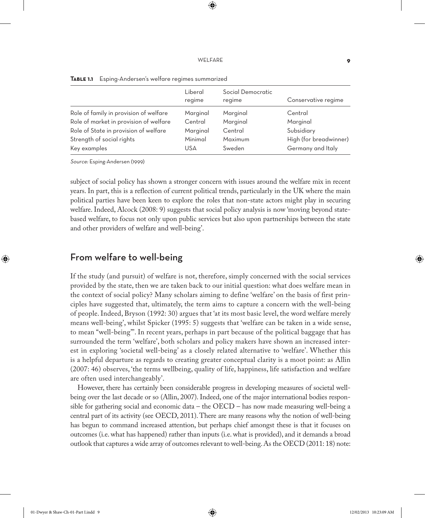⊕

|                                        | Liberal<br>regime | Social Democratic<br>regime |                        |
|----------------------------------------|-------------------|-----------------------------|------------------------|
|                                        |                   |                             | Conservative regime    |
| Role of family in provision of welfare | Marginal          | Marginal                    | Central                |
| Role of market in provision of welfare | Central           | Marginal                    | Marginal               |
| Role of State in provision of welfare  | Marginal          | Central                     | Subsidiary             |
| Strength of social rights              | Minimal           | Maximum                     | High (for breadwinner) |
| Key examples                           | USA               | Sweden                      | Germany and Italy      |

**Table 1.1** Esping-Andersen's welfare regimes summarized

Source: Esping-Andersen (1999)

subject of social policy has shown a stronger concern with issues around the welfare mix in recent years. In part, this is a reflection of current political trends, particularly in the UK where the main political parties have been keen to explore the roles that non-state actors might play in securing welfare. Indeed, Alcock (2008: 9) suggests that social policy analysis is now 'moving beyond statebased welfare, to focus not only upon public services but also upon partnerships between the state and other providers of welfare and well-being'.

## From welfare to well-being

If the study (and pursuit) of welfare is not, therefore, simply concerned with the social services provided by the state, then we are taken back to our initial question: what does welfare mean in the context of social policy? Many scholars aiming to define 'welfare' on the basis of first principles have suggested that, ultimately, the term aims to capture a concern with the well-being of people. Indeed, Bryson (1992: 30) argues that 'at its most basic level, the word welfare merely means well-being', whilst Spicker (1995: 5) suggests that 'welfare can be taken in a wide sense, to mean "well-being"'. In recent years, perhaps in part because of the political baggage that has surrounded the term 'welfare', both scholars and policy makers have shown an increased interest in exploring 'societal well-being' as a closely related alternative to 'welfare'. Whether this is a helpful departure as regards to creating greater conceptual clarity is a moot point: as Allin (2007: 46) observes, 'the terms wellbeing, quality of life, happiness, life satisfaction and welfare are often used interchangeably'.

However, there has certainly been considerable progress in developing measures of societal wellbeing over the last decade or so (Allin, 2007). Indeed, one of the major international bodies responsible for gathering social and economic data – the OECD – has now made measuring well-being a central part of its activity (see OECD, 2011). There are many reasons why the notion of well-being has begun to command increased attention, but perhaps chief amongst these is that it focuses on outcomes (i.e. what has happened) rather than inputs (i.e. what is provided), and it demands a broad outlook that captures a wide array of outcomes relevant to well-being. As the OECD (2011: 18) note: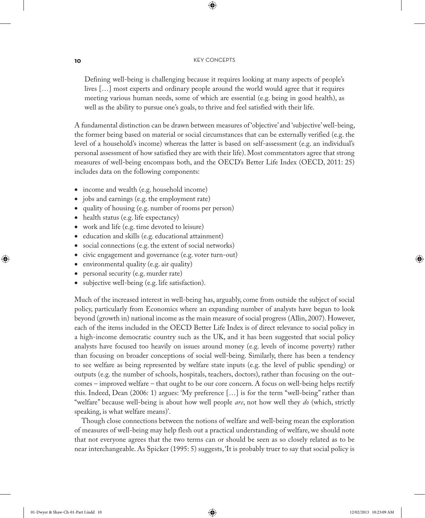⊕

Defining well-being is challenging because it requires looking at many aspects of people's lives […] most experts and ordinary people around the world would agree that it requires meeting various human needs, some of which are essential (e.g. being in good health), as well as the ability to pursue one's goals, to thrive and feel satisfied with their life.

A fundamental distinction can be drawn between measures of 'objective' and 'subjective' well-being, the former being based on material or social circumstances that can be externally verified (e.g. the level of a household's income) whereas the latter is based on self-assessment (e.g. an individual's personal assessment of how satisfied they are with their life). Most commentators agree that strong measures of well-being encompass both, and the OECD's Better Life Index (OECD, 2011: 25) includes data on the following components:

- income and wealth (e.g. household income)
- jobs and earnings (e.g. the employment rate)
- quality of housing (e.g. number of rooms per person)
- health status (e.g. life expectancy)
- work and life (e.g. time devoted to leisure)
- education and skills (e.g. educational attainment)
- social connections (e.g. the extent of social networks)
- civic engagement and governance (e.g. voter turn-out)
- environmental quality (e.g. air quality)
- personal security (e.g. murder rate)
- subjective well-being (e.g. life satisfaction).

Much of the increased interest in well-being has, arguably, come from outside the subject of social policy, particularly from Economics where an expanding number of analysts have begun to look beyond (growth in) national income as the main measure of social progress (Allin, 2007). However, each of the items included in the OECD Better Life Index is of direct relevance to social policy in a high-income democratic country such as the UK, and it has been suggested that social policy analysts have focused too heavily on issues around money (e.g. levels of income poverty) rather than focusing on broader conceptions of social well-being. Similarly, there has been a tendency to see welfare as being represented by welfare state inputs (e.g. the level of public spending) or outputs (e.g. the number of schools, hospitals, teachers, doctors), rather than focusing on the outcomes – improved welfare – that ought to be our core concern. A focus on well-being helps rectify this. Indeed, Dean (2006: 1) argues: 'My preference […] is for the term "well-being" rather than "welfare" because well-being is about how well people *are*, not how well they *do* (which, strictly speaking, is what welfare means)'.

Though close connections between the notions of welfare and well-being mean the exploration of measures of well-being may help flesh out a practical understanding of welfare, we should note that not everyone agrees that the two terms can or should be seen as so closely related as to be near interchangeable. As Spicker (1995: 5) suggests, 'It is probably truer to say that social policy is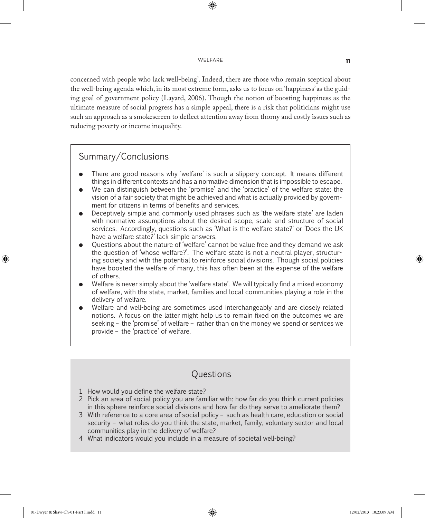#### Welfare **11**

⊕

concerned with people who lack well-being'. Indeed, there are those who remain sceptical about the well-being agenda which, in its most extreme form, asks us to focus on 'happiness' as the guiding goal of government policy (Layard, 2006). Though the notion of boosting happiness as the ultimate measure of social progress has a simple appeal, there is a risk that politicians might use such an approach as a smokescreen to deflect attention away from thorny and costly issues such as reducing poverty or income inequality.

#### Summary/Conclusions

- � There are good reasons why 'welfare' is such a slippery concept. It means different things in different contexts and has a normative dimension that is impossible to escape.
- � We can distinguish between the 'promise' and the 'practice' of the welfare state: the vision of a fair society that might be achieved and what is actually provided by government for citizens in terms of benefits and services.
- � Deceptively simple and commonly used phrases such as 'the welfare state' are laden with normative assumptions about the desired scope, scale and structure of social services. Accordingly, questions such as 'What is the welfare state?' or 'Does the UK have a welfare state?' lack simple answers.
- � Questions about the nature of 'welfare' cannot be value free and they demand we ask the question of 'whose welfare?'. The welfare state is not a neutral player, structuring society and with the potential to reinforce social divisions. Though social policies have boosted the welfare of many, this has often been at the expense of the welfare of others.
- Welfare is never simply about the 'welfare state'. We will typically find a mixed economy of welfare, with the state, market, families and local communities playing a role in the delivery of welfare.
- Welfare and well-being are sometimes used interchangeably and are closely related notions. A focus on the latter might help us to remain fixed on the outcomes we are seeking – the 'promise' of welfare – rather than on the money we spend or services we provide – the 'practice' of welfare.

## **Questions**

- 1 How would you define the welfare state?
- 2 Pick an area of social policy you are familiar with: how far do you think current policies in this sphere reinforce social divisions and how far do they serve to ameliorate them?
- 3 With reference to a core area of social policy such as health care, education or social security – what roles do you think the state, market, family, voluntary sector and local communities play in the delivery of welfare?
- 4 What indicators would you include in a measure of societal well-being?

♠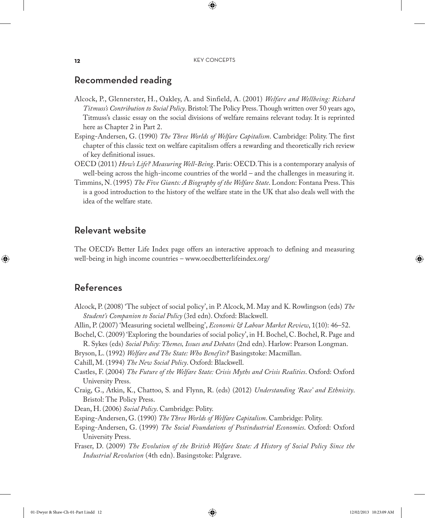⊕

## Recommended reading

- Alcock, P., Glennerster, H., Oakley, A. and Sinfield, A. (2001) *Welfare and Wellbeing: Richard Titmuss's Contribution to Social Policy*. Bristol: The Policy Press. Though written over 50 years ago, Titmuss's classic essay on the social divisions of welfare remains relevant today. It is reprinted here as Chapter 2 in Part 2.
- Esping-Andersen, G. (1990) *The Three Worlds of Welfare Capitalism*. Cambridge: Polity. The first chapter of this classic text on welfare capitalism offers a rewarding and theoretically rich review of key definitional issues.
- OECD (2011) *How's Life? Measuring Well-Being*. Paris: OECD. This is a contemporary analysis of well-being across the high-income countries of the world – and the challenges in measuring it.
- Timmins, N. (1995) *The Five Giants: A Biography of the Welfare State*. London: Fontana Press. This is a good introduction to the history of the welfare state in the UK that also deals well with the idea of the welfare state.

### Relevant website

The OECD's Better Life Index page offers an interactive approach to defining and measuring well-being in high income countries – www.oecdbetterlifeindex.org/

## References

♠

- Alcock, P. (2008) 'The subject of social policy', in P. Alcock, M. May and K. Rowlingson (eds) *The Student's Companion to Social Policy* (3rd edn). Oxford: Blackwell.
- Allin, P. (2007) 'Measuring societal wellbeing', *Economic & Labour Market Review*, 1(10): 46–52.

Bochel, C. (2009) 'Exploring the boundaries of social policy', in H. Bochel, C. Bochel, R. Page and R. Sykes (eds) *Social Policy: Themes, Issues and Debates* (2nd edn). Harlow: Pearson Longman.

Bryson, L. (1992) *Welfare and The State: Who Benefits?* Basingstoke: Macmillan.

Cahill, M. (1994) *The New Social Policy*. Oxford: Blackwell.

- Castles, F. (2004) *The Future of the Welfare State: Crisis Myths and Crisis Realities*. Oxford: Oxford University Press.
- Craig, G., Atkin, K., Chattoo, S. and Flynn, R. (eds) (2012) *Understanding 'Race' and Ethnicity*. Bristol: The Policy Press.

Dean, H. (2006) *Social Policy*. Cambridge: Polity.

Esping-Andersen, G. (1990) *The Three Worlds of Welfare Capitalism*. Cambridge: Polity.

Esping-Andersen, G. (1999) *The Social Foundations of Postindustrial Economies*. Oxford: Oxford University Press.

Fraser, D. (2009) *The Evolution of the British Welfare State: A History of Social Policy Since the Industrial Revolution* (4th edn). Basingstoke: Palgrave.